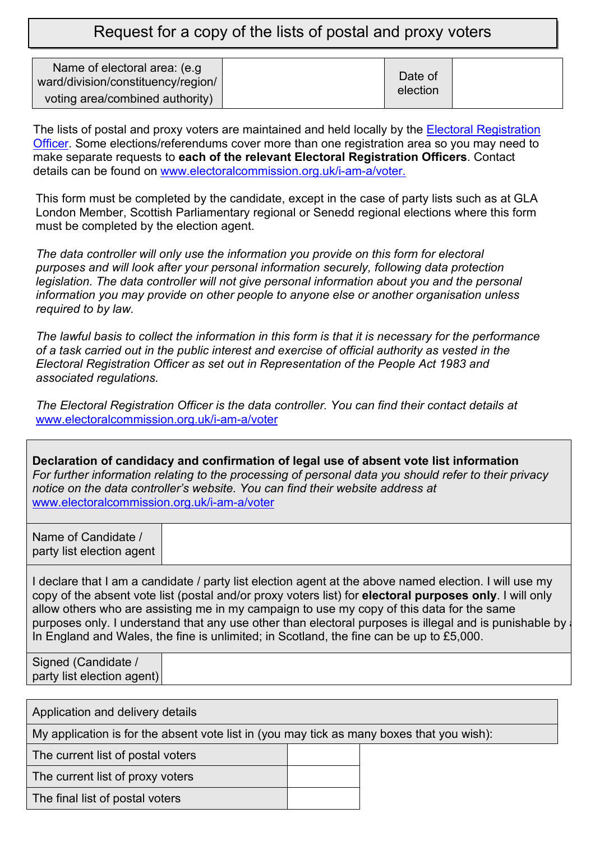Request for a copy of the lists of postal and proxy voters

| Name of electoral area: (e.g.<br>ward/division/constituency/region/ | Date of  |  |
|---------------------------------------------------------------------|----------|--|
| voting area/combined authority)                                     | election |  |

The lists of postal and proxy voters are maintained and held locally by the Electoral Registration [Officer.](http://www.electoralcommission.org.uk/i-am-a/voter) Some elections/referendums cover more than one registration area so you may need to make separate requests to **each of the relevant Electoral Registration Officers**. Contact details can be found on [www.electoralcommission.org.uk/i-am-a/voter.](https://www.electoralcommission.org.uk/i-am-a/voter)

This form must be completed by the candidate, except in the case of party lists such as at GLA London Member, Scottish Parliamentary regional or Senedd regional elections where this form must be completed by the election agent.

*The data controller will only use the information you provide on this form for electoral purposes and will look after your personal information securely, following data protection legislation. The data controller will not give personal information about you and the personal information you may provide on other people to anyone else or another organisation unless required to by law.*

*The lawful basis to collect the information in this form is that it is necessary for the performance of a task carried out in the public interest and exercise of official authority as vested in the Electoral Registration Officer as set out in Representation of the People Act 1983 and associated regulations.*

*The Electoral Registration Officer is the data controller. You can find their contact details at*  [www.electoralcommission.org.uk/i-am-a/voter](https://www.electoralcommission.org.uk/i-am-a/voter)

**Declaration of candidacy and confirmation of legal use of absent vote list information** *For further information relating to the processing of personal data you should refer to their privacy notice on the data controller's website. You can find their website address at*  [www.electoralcommission.org.uk/i-am-a/voter](https://www.electoralcommission.org.uk/i-am-a/voter)

| Name of Candidate /<br>party list election agent |
|--------------------------------------------------|
|--------------------------------------------------|

I declare that I am a candidate / party list election agent at the above named election. I will use my copy of the absent vote list (postal and/or proxy voters list) for **electoral purposes only**. I will only allow others who are assisting me in my campaign to use my copy of this data for the same purposes only. I understand that any use other than electoral purposes is illegal and is punishable by a In England and Wales, the fine is unlimited; in Scotland, the fine can be up to £5,000.

Signed (Candidate / party list election agent)

| Application and delivery details                                                          |  |  |  |  |  |  |
|-------------------------------------------------------------------------------------------|--|--|--|--|--|--|
| My application is for the absent vote list in (you may tick as many boxes that you wish): |  |  |  |  |  |  |
| The current list of postal voters                                                         |  |  |  |  |  |  |
| The current list of proxy voters                                                          |  |  |  |  |  |  |
| The final list of postal voters                                                           |  |  |  |  |  |  |